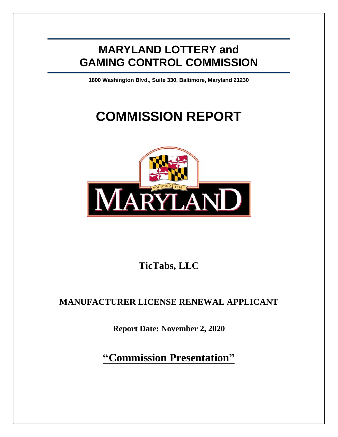## **MARYLAND LOTTERY and GAMING CONTROL COMMISSION**

**1800 Washington Blvd., Suite 330, Baltimore, Maryland 21230**

# **COMMISSION REPORT**



**TicTabs, LLC**

### **MANUFACTURER LICENSE RENEWAL APPLICANT**

**Report Date: November 2, 2020**

**"Commission Presentation"**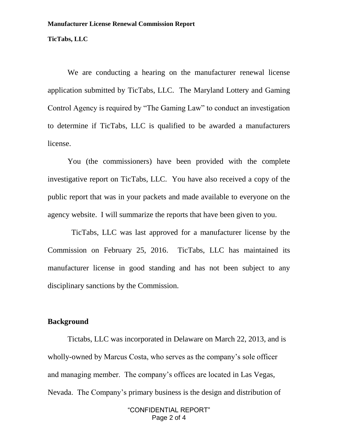#### **TicTabs, LLC**

We are conducting a hearing on the manufacturer renewal license application submitted by TicTabs, LLC. The Maryland Lottery and Gaming Control Agency is required by "The Gaming Law" to conduct an investigation to determine if TicTabs, LLC is qualified to be awarded a manufacturers license.

You (the commissioners) have been provided with the complete investigative report on TicTabs, LLC. You have also received a copy of the public report that was in your packets and made available to everyone on the agency website. I will summarize the reports that have been given to you.

 TicTabs, LLC was last approved for a manufacturer license by the Commission on February 25, 2016. TicTabs, LLC has maintained its manufacturer license in good standing and has not been subject to any disciplinary sanctions by the Commission.

#### **Background**

Tictabs, LLC was incorporated in Delaware on March 22, 2013, and is wholly-owned by Marcus Costa, who serves as the company's sole officer and managing member. The company's offices are located in Las Vegas, Nevada. The Company's primary business is the design and distribution of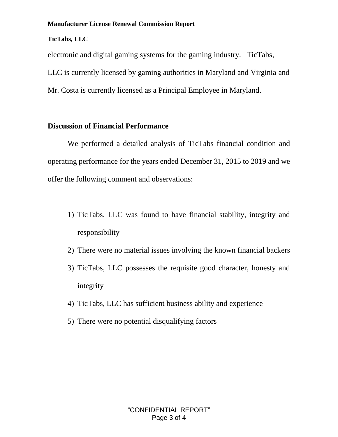#### **Manufacturer License Renewal Commission Report**

#### **TicTabs, LLC**

electronic and digital gaming systems for the gaming industry. TicTabs, LLC is currently licensed by gaming authorities in Maryland and Virginia and Mr. Costa is currently licensed as a Principal Employee in Maryland.

#### **Discussion of Financial Performance**

We performed a detailed analysis of TicTabs financial condition and operating performance for the years ended December 31, 2015 to 2019 and we offer the following comment and observations:

- 1) TicTabs, LLC was found to have financial stability, integrity and responsibility
- 2) There were no material issues involving the known financial backers
- 3) TicTabs, LLC possesses the requisite good character, honesty and integrity
- 4) TicTabs, LLC has sufficient business ability and experience
- 5) There were no potential disqualifying factors